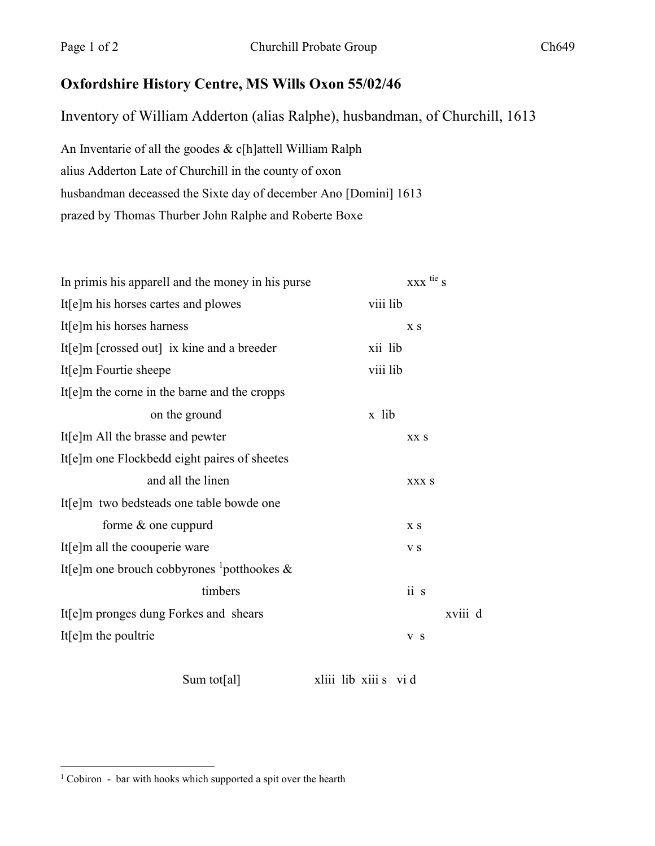## **Oxfordshire History Centre, MS Wills Oxon 55/02/46**

Inventory of William Adderton (alias Ralphe), husbandman, of Churchill, 1613

An Inventarie of all the goodes & c[h]attell William Ralph alius Adderton Late of Churchill in the county of oxon husbandman deceassed the Sixte day of december Ano [Domini] 1613 prazed by Thomas Thurber John Ralphe and Roberte Boxe

|       | X S   |                                 |           |
|-------|-------|---------------------------------|-----------|
|       |       |                                 |           |
|       |       |                                 |           |
|       |       |                                 |           |
| x lib |       |                                 |           |
|       | XX S  |                                 |           |
|       |       |                                 |           |
|       | XXX S |                                 |           |
|       |       |                                 |           |
|       | X S   |                                 |           |
|       | V S   |                                 |           |
|       |       |                                 |           |
|       | ii s  |                                 |           |
|       |       | xviii d                         |           |
|       | V S   |                                 |           |
|       |       | viii lib<br>xii lib<br>viii lib | XXX tie s |

Sum tot[al] xliii lib xiii s vi d

<sup>&</sup>lt;sup>1</sup> Cobiron - bar with hooks which supported a spit over the hearth